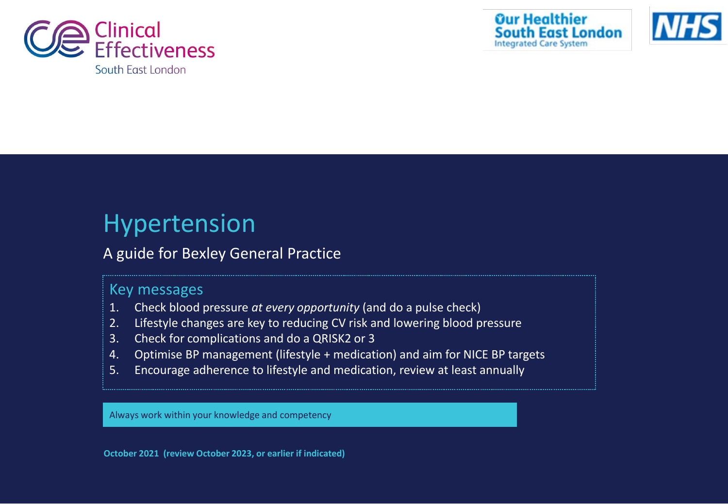





# Hypertension

# A guide for Bexley General Practice

# Key messages

- 1. Check blood pressure *at every opportunity* (and do a pulse check)
- 2. Lifestyle changes are key to reducing CV risk and lowering blood pressure
- 3. Check for complications and do a QRISK2 or 3
- 4. Optimise BP management (lifestyle + medication) and aim for NICE BP targets
- 5. Encourage adherence to lifestyle and medication, review at least annually

Always work within your knowledge and competency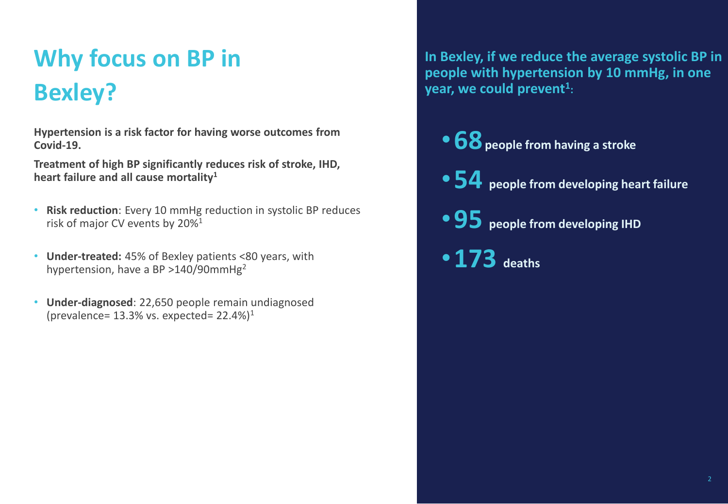# **Why focus on BP in Bexley?**

**Hypertension is a risk factor for having worse outcomes from Covid-19.**

**Treatment of high BP significantly reduces risk of stroke, IHD, heart failure and all cause mortality<sup>1</sup>**

- **Risk reduction**: Every 10 mmHg reduction in systolic BP reduces risk of major CV events by 20%<sup>1</sup>
- **Under-treated:** 45% of Bexley patients <80 years, with hypertension, have a BP >140/90mmHg<sup>2</sup>
- **Under-diagnosed**: 22,650 people remain undiagnosed (prevalence=  $13.3\%$  vs. expected=  $22.4\%$ )<sup>1</sup>

**In Bexley, if we reduce the average systolic BP in people with hypertension by 10 mmHg, in one year, we could prevent<sup>1</sup> :**

- •**68 people from having a stroke**
- •**54 people from developing heart failure**
- •**95 people from developing IHD**
- •**173 deaths**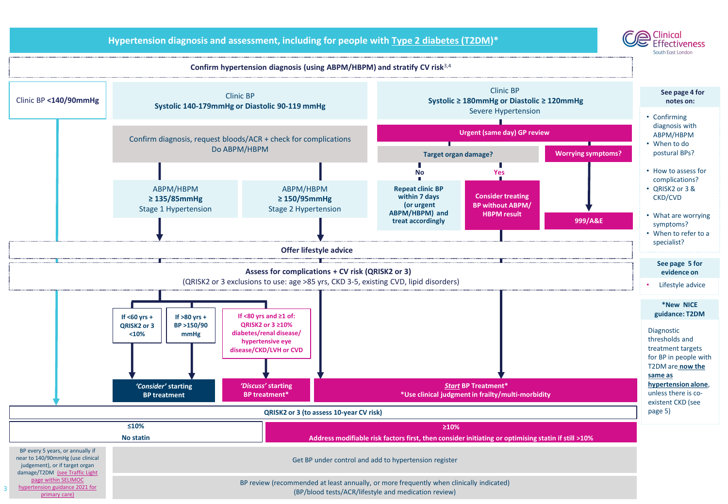

Clinical

**Hypertension diagnosis and assessment, including for people with Type 2 diabetes (T2DM)\***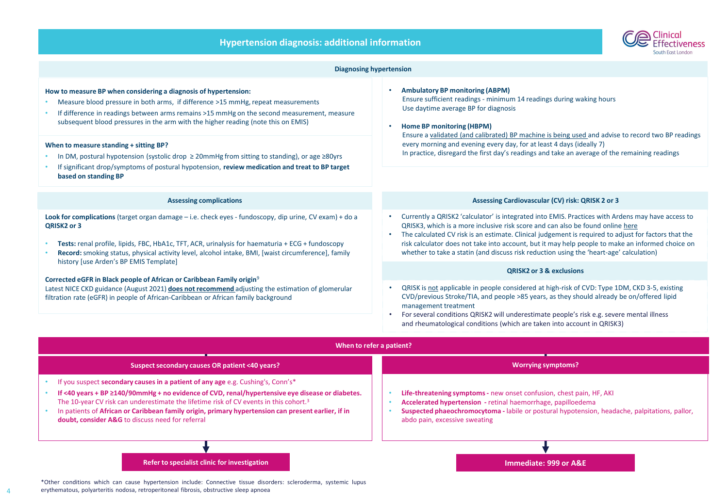| <b>Hypertension diagnosis: additional information</b> |  |  |
|-------------------------------------------------------|--|--|



| <b>Diagnosing hypertension</b>                                                                                                                                                                                                                                                                                                                                                                                                                                                                                                                                                                                          |                                                                                                                                                                                                                                                                                                                                                                                                                                                                                                                                       |  |  |
|-------------------------------------------------------------------------------------------------------------------------------------------------------------------------------------------------------------------------------------------------------------------------------------------------------------------------------------------------------------------------------------------------------------------------------------------------------------------------------------------------------------------------------------------------------------------------------------------------------------------------|---------------------------------------------------------------------------------------------------------------------------------------------------------------------------------------------------------------------------------------------------------------------------------------------------------------------------------------------------------------------------------------------------------------------------------------------------------------------------------------------------------------------------------------|--|--|
| How to measure BP when considering a diagnosis of hypertension:<br>Measure blood pressure in both arms, if difference >15 mmHg, repeat measurements<br>If difference in readings between arms remains >15 mmHg on the second measurement, measure<br>subsequent blood pressures in the arm with the higher reading (note this on EMIS)<br>When to measure standing + sitting BP?<br>In DM, postural hypotension (systolic drop $\geq 20$ mmHg from sitting to standing), or age $\geq 80$ yrs<br>If significant drop/symptoms of postural hypotension, review medication and treat to BP target<br>based on standing BP | <b>Ambulatory BP monitoring (ABPM)</b><br>Ensure sufficient readings - minimum 14 readings during waking hours<br>Use daytime average BP for diagnosis<br>Home BP monitoring (HBPM)<br>Ensure a validated (and calibrated) BP machine is being used and advise to record two BP readings<br>every morning and evening every day, for at least 4 days (ideally 7)<br>In practice, disregard the first day's readings and take an average of the remaining readings                                                                     |  |  |
| <b>Assessing complications</b>                                                                                                                                                                                                                                                                                                                                                                                                                                                                                                                                                                                          | Assessing Cardiovascular (CV) risk: QRISK 2 or 3                                                                                                                                                                                                                                                                                                                                                                                                                                                                                      |  |  |
| Look for complications (target organ damage - i.e. check eyes - fundoscopy, dip urine, CV exam) + do a<br>QRISK2 or 3<br>Tests: renal profile, lipids, FBC, HbA1c, TFT, ACR, urinalysis for haematuria + ECG + fundoscopy<br>Record: smoking status, physical activity level, alcohol intake, BMI, [waist circumference], family<br>history [use Arden's BP EMIS Template]                                                                                                                                                                                                                                              | • Currently a QRISK2 'calculator' is integrated into EMIS. Practices with Ardens may have access to<br>QRISK3, which is a more inclusive risk score and can also be found online here<br>• The calculated CV risk is an estimate. Clinical judgement is required to adjust for factors that the<br>risk calculator does not take into account, but it may help people to make an informed choice on<br>whether to take a statin (and discuss risk reduction using the 'heart-age' calculation)<br><b>QRISK2 or 3 &amp; exclusions</b> |  |  |
| Corrected eGFR in Black people of African or Caribbean Family origin <sup>9</sup>                                                                                                                                                                                                                                                                                                                                                                                                                                                                                                                                       |                                                                                                                                                                                                                                                                                                                                                                                                                                                                                                                                       |  |  |
| Latest NICE CKD guidance (August 2021) does not recommend adjusting the estimation of glomerular<br>filtration rate (eGFR) in people of African-Caribbean or African family background                                                                                                                                                                                                                                                                                                                                                                                                                                  | QRISK is not applicable in people considered at high-risk of CVD: Type 1DM, CKD 3-5, existing<br>CVD/previous Stroke/TIA, and people >85 years, as they should already be on/offered lipid<br>management treatment<br>For several conditions QRISK2 will underestimate people's risk e.g. severe mental illness<br>and rheumatological conditions (which are taken into account in QRISK3)                                                                                                                                            |  |  |
| When to refer a patient?                                                                                                                                                                                                                                                                                                                                                                                                                                                                                                                                                                                                |                                                                                                                                                                                                                                                                                                                                                                                                                                                                                                                                       |  |  |
| Suspect secondary causes OR patient <40 years?                                                                                                                                                                                                                                                                                                                                                                                                                                                                                                                                                                          | <b>Worrying symptoms?</b>                                                                                                                                                                                                                                                                                                                                                                                                                                                                                                             |  |  |
| If you suspect secondary causes in a patient of any age e.g. Cushing's, Conn's*<br>If <40 years + BP $\geq$ 140/90mmHg + no evidence of CVD, renal/hypertensive eye disease or diabetes.<br>The 10-year CV risk can underestimate the lifetime risk of CV events in this cohort. <sup>3</sup><br>In patients of African or Caribbean family origin, primary hypertension can present earlier, if in<br>doubt, consider A&G to discuss need for referral                                                                                                                                                                 | Life-threatening symptoms - new onset confusion, chest pain, HF, AKI<br>Accelerated hypertension - retinal haemorrhage, papilloedema<br>Suspected phaeochromocytoma - labile or postural hypotension, headache, palpitations, pallor,<br>abdo pain, excessive sweating                                                                                                                                                                                                                                                                |  |  |
| Refer to specialist clinic for investigation                                                                                                                                                                                                                                                                                                                                                                                                                                                                                                                                                                            | Immediate: 999 or A&E                                                                                                                                                                                                                                                                                                                                                                                                                                                                                                                 |  |  |
| *Other conditions which can cause hypertension include: Connective tissue disorders: scleroderma, systemic lupus                                                                                                                                                                                                                                                                                                                                                                                                                                                                                                        |                                                                                                                                                                                                                                                                                                                                                                                                                                                                                                                                       |  |  |

erythematous, polyarteritis nodosa, retroperitoneal fibrosis, obstructive sleep apnoea

4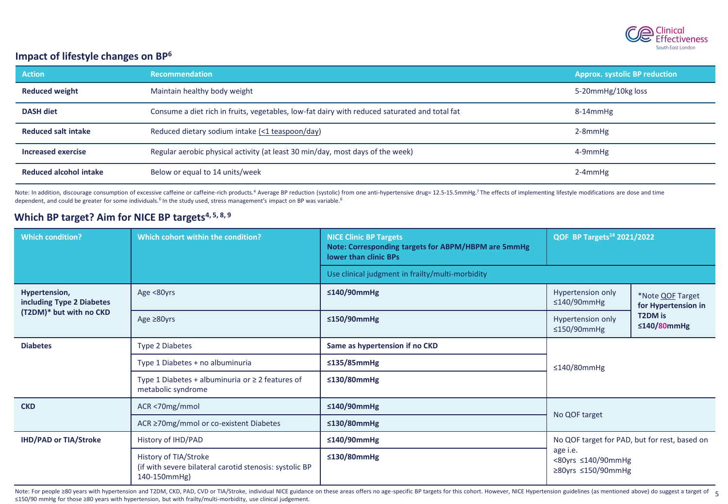

# **Impact of lifestyle changes on BP<sup>6</sup>**

| <b>Action</b>              | <b>Recommendation</b>                                                                         | <b>Approx. systolic BP reduction</b> |
|----------------------------|-----------------------------------------------------------------------------------------------|--------------------------------------|
| <b>Reduced weight</b>      | Maintain healthy body weight                                                                  | 5-20mmHg/10kg loss                   |
| <b>DASH diet</b>           | Consume a diet rich in fruits, vegetables, low-fat dairy with reduced saturated and total fat | 8-14mmHg                             |
| <b>Reduced salt intake</b> | Reduced dietary sodium intake (<1 teaspoon/day)                                               | $2-8$ mm $Hg$                        |
| Increased exercise         | Regular aerobic physical activity (at least 30 min/day, most days of the week)                | 4-9mmHg                              |
| Reduced alcohol intake     | Below or equal to 14 units/week                                                               | $2-4$ mm $Hg$                        |

Note: In addition, discourage consumption of excessive caffeine or caffeine-rich products.<sup>4</sup> Average BP reduction (systolic) from one anti-hypertensive drug= 12.5-15.5mmHg.<sup>7</sup> The effects of implementing lifestyle modific dependent, and could be greater for some individuals.<sup>6</sup> In the study used, stress management's impact on BP was variable.<sup>6</sup>

# **Which BP target? Aim for NICE BP targets4, 5, 8, 9**

| <b>Which condition?</b>                                               | Which cohort within the condition?                                                               | <b>NICE Clinic BP Targets</b><br>Note: Corresponding targets for ABPM/HBPM are 5mmHg<br>lower than clinic BPs | QOF BP Targets <sup>14</sup> 2021/2022                                                                                                                       |  |
|-----------------------------------------------------------------------|--------------------------------------------------------------------------------------------------|---------------------------------------------------------------------------------------------------------------|--------------------------------------------------------------------------------------------------------------------------------------------------------------|--|
|                                                                       |                                                                                                  | Use clinical judgment in frailty/multi-morbidity                                                              |                                                                                                                                                              |  |
| Hypertension,<br>including Type 2 Diabetes<br>(T2DM)* but with no CKD | Age <80yrs                                                                                       | ≤140/90mmHg                                                                                                   | Hypertension only<br>*Note QOF Target<br>$\leq$ 140/90mmHg<br>for Hypertension in<br><b>T2DM</b> is<br>Hypertension only<br>$\leq$ 140/80mmHg<br>≤150/90mmHg |  |
|                                                                       | Age $\geq 80$ yrs                                                                                | ≤150/90mmHg                                                                                                   |                                                                                                                                                              |  |
| <b>Diabetes</b>                                                       | <b>Type 2 Diabetes</b>                                                                           | Same as hypertension if no CKD                                                                                | $\leq$ 140/80mmHg                                                                                                                                            |  |
|                                                                       | Type 1 Diabetes + no albuminuria                                                                 | $\leq$ 135/85mmHg                                                                                             |                                                                                                                                                              |  |
|                                                                       | Type 1 Diabetes + albuminuria or $\geq 2$ features of<br>metabolic syndrome                      | ≤130/80mmHg                                                                                                   |                                                                                                                                                              |  |
| ACR <70mg/mmol<br><b>CKD</b>                                          |                                                                                                  | ≤140/90mmHg                                                                                                   |                                                                                                                                                              |  |
|                                                                       | ACR ≥70mg/mmol or co-existent Diabetes                                                           | $\leq$ 130/80mmHg                                                                                             | No QOF target                                                                                                                                                |  |
| <b>IHD/PAD or TIA/Stroke</b>                                          | History of IHD/PAD                                                                               | ≤140/90mmHg                                                                                                   | No QOF target for PAD, but for rest, based on<br>age i.e.<br><80yrs ≤140/90mmHg<br>≥80yrs $≤150/90mm$ Hg                                                     |  |
|                                                                       | History of TIA/Stroke<br>(if with severe bilateral carotid stenosis: systolic BP<br>140-150mmHg) | ≤130/80mmHg                                                                                                   |                                                                                                                                                              |  |

Note: For people ≥80 years with hypertension and T2DM, CKD, PAD, CVD or TIA/Stroke, individual NICE guidance on these areas offers no age-specific BP targets for this cohort. However, NICE Hypertension guidelines (as menti ≤150/90 mmHg for those ≥80 years with hypertension, but with frailty/multi-morbidity, use clinical judgement.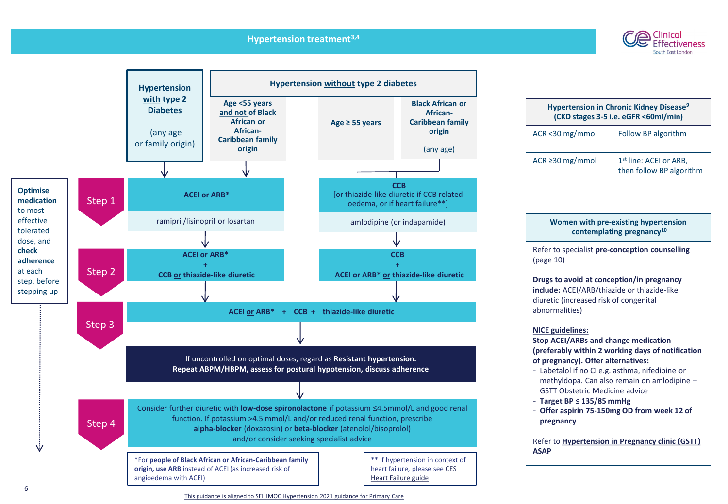# **Hypertension treatment3,4**





| <b>Hypertension in Chronic Kidney Disease<sup>9</sup></b><br>(CKD stages 3-5 i.e. eGFR <60ml/min) |                                                                |  |
|---------------------------------------------------------------------------------------------------|----------------------------------------------------------------|--|
| ACR <30 mg/mmol                                                                                   | Follow BP algorithm                                            |  |
| ACR $\geq$ 30 mg/mmol                                                                             | 1 <sup>st</sup> line: ACEI or ARB,<br>then follow BP algorithm |  |
|                                                                                                   |                                                                |  |

# **Women with pre-existing hypertension contemplating pregnancy<sup>10</sup>**

Refer to specialist **pre-conception counselling**  (page 10)

**Drugs to avoid at conception/in pregnancy include:** ACEI/ARB/thiazide or thiazide-like diuretic (increased risk of congenital abnormalities)

## **NICE guidelines:**

**Stop ACEI/ARBs and change medication (preferably within 2 working days of notification of pregnancy). Offer alternatives:**

- Labetalol if no CI e.g. asthma, nifedipine or methyldopa. Can also remain on amlodipine – GSTT Obstetric Medicine advice
- **Target BP ≤ 135/85 mmHg**
- **Offer aspirin 75-150mg OD from week 12 of pregnancy**

Refer to **[Hypertension in Pregnancy clinic \(GSTT\)](https://www.guysandstthomas.nhs.uk/our-services/maternity/care-during-pregnancy/high-blood-pressure-in-pregnancy.aspx#na)  ASAP**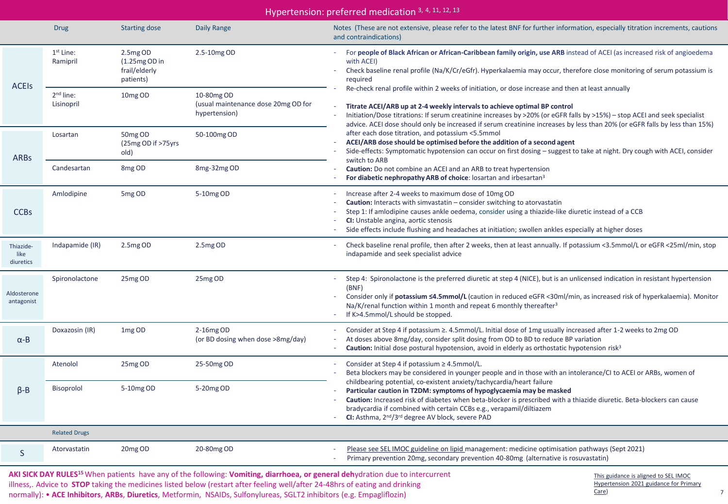| Hypertension: preferred medication 3, 4, 11, 12, 13 |                                     |                                                           |                                                                    |                                                                                                                                                                                                                                                                                                                                                                                                                                          |
|-----------------------------------------------------|-------------------------------------|-----------------------------------------------------------|--------------------------------------------------------------------|------------------------------------------------------------------------------------------------------------------------------------------------------------------------------------------------------------------------------------------------------------------------------------------------------------------------------------------------------------------------------------------------------------------------------------------|
|                                                     | <b>Drug</b>                         | <b>Starting dose</b>                                      | Daily Range                                                        | Notes (These are not extensive, please refer to the latest BNF for further information, especially titration increments, cautions<br>and contraindications)                                                                                                                                                                                                                                                                              |
| <b>ACEIS</b>                                        | 1 <sup>st</sup> Line:<br>Ramipril   | 2.5mg OD<br>$(1.25mgOD)$ in<br>frail/elderly<br>patients) | 2.5-10mg OD                                                        | For people of Black African or African-Caribbean family origin, use ARB instead of ACEI (as increased risk of angioedema<br>$\sim 10$<br>with ACEI)<br>Check baseline renal profile (Na/K/Cr/eGfr). Hyperkalaemia may occur, therefore close monitoring of serum potassium is<br>required                                                                                                                                                |
|                                                     | 2 <sup>nd</sup> line:<br>Lisinopril | 10 <sub>mg</sub> OD                                       | 10-80mg OD<br>(usual maintenance dose 20mg OD for<br>hypertension) | Re-check renal profile within 2 weeks of initiation, or dose increase and then at least annually<br>Titrate ACEI/ARB up at 2-4 weekly intervals to achieve optimal BP control<br>Initiation/Dose titrations: If serum creatinine increases by >20% (or eGFR falls by >15%) - stop ACEI and seek specialist<br>advice. ACEI dose should only be increased if serum creatinine increases by less than 20% (or eGFR falls by less than 15%) |
| <b>ARBs</b>                                         | Losartan                            | 50 <sub>mg</sub> OD<br>(25mg OD if >75yrs<br>old)         | 50-100mg OD                                                        | after each dose titration, and potassium <5.5mmol<br>ACEI/ARB dose should be optimised before the addition of a second agent<br>Side-effects: Symptomatic hypotension can occur on first dosing - suggest to take at night. Dry cough with ACEI, consider<br>switch to ARB                                                                                                                                                               |
|                                                     | Candesartan                         | 8 <sub>mg</sub> OD                                        | 8mg-32mg OD                                                        | <b>Caution:</b> Do not combine an ACEI and an ARB to treat hypertension<br>For diabetic nephropathy ARB of choice: losartan and irbesartan <sup>3</sup>                                                                                                                                                                                                                                                                                  |
| <b>CCBs</b>                                         | Amlodipine                          | 5 <sub>mg</sub> OD                                        | 5-10mg OD                                                          | Increase after 2-4 weeks to maximum dose of 10mg OD<br>Caution: Interacts with simvastatin - consider switching to atorvastatin<br>Step 1: If amlodipine causes ankle oedema, consider using a thiazide-like diuretic instead of a CCB<br>CI: Unstable angina, aortic stenosis<br>Side effects include flushing and headaches at initiation; swollen ankles especially at higher doses                                                   |
| Thiazide-<br>like<br>diuretics                      | Indapamide (IR)                     | 2.5mg OD                                                  | 2.5mg OD                                                           | Check baseline renal profile, then after 2 weeks, then at least annually. If potassium <3.5mmol/L or eGFR <25ml/min, stop<br>indapamide and seek specialist advice                                                                                                                                                                                                                                                                       |
| Aldosterone<br>antagonist                           | Spironolactone                      | 25mg OD                                                   | 25mg OD                                                            | Step 4: Spironolactone is the preferred diuretic at step 4 (NICE), but is an unlicensed indication in resistant hypertension<br>(BNF)<br>Consider only if potassium $\leq 4.5$ mmol/L (caution in reduced eGFR <30ml/min, as increased risk of hyperkalaemia). Monitor<br>$\overline{\phantom{a}}$<br>Na/K/renal function within 1 month and repeat 6 monthly thereafter <sup>3</sup><br>If K>4.5mmol/L should be stopped.               |
| $\alpha$ -B                                         | Doxazosin (IR)                      | 1mg OD                                                    | 2-16mg OD<br>(or BD dosing when dose >8mg/day)                     | Consider at Step 4 if potassium $\geq$ . 4.5mmol/L. Initial dose of 1mg usually increased after 1-2 weeks to 2mg OD<br>At doses above 8mg/day, consider split dosing from OD to BD to reduce BP variation<br>Caution: Initial dose postural hypotension, avoid in elderly as orthostatic hypotension risk <sup>3</sup><br>$\overline{\phantom{a}}$                                                                                       |
|                                                     | Atenolol                            | 25mg OD                                                   | 25-50mg OD                                                         | Consider at Step 4 if potassium ≥ 4.5mmol/L.<br>Beta blockers may be considered in younger people and in those with an intolerance/CI to ACEI or ARBs, women of                                                                                                                                                                                                                                                                          |
| $\beta - B$                                         | <b>Bisoprolol</b>                   | 5-10mg OD                                                 | 5-20mg OD                                                          | childbearing potential, co-existent anxiety/tachycardia/heart failure<br>Particular caution in T2DM: symptoms of hypoglycaemia may be masked<br>Caution: Increased risk of diabetes when beta-blocker is prescribed with a thiazide diuretic. Beta-blockers can cause<br>bradycardia if combined with certain CCBs e.g., verapamil/diltiazem<br>CI: Asthma, 2 <sup>nd</sup> /3 <sup>rd</sup> degree AV block, severe PAD                 |
|                                                     | <b>Related Drugs</b>                |                                                           |                                                                    |                                                                                                                                                                                                                                                                                                                                                                                                                                          |
| S                                                   | Atorvastatin                        | 20mg OD                                                   | 20-80mg OD                                                         | Please see SEL IMOC guideline on lipid management: medicine optimisation pathways (Sept 2021)<br>Primary prevention 20mg, secondary prevention 40-80mg (alternative is rosuvastatin)                                                                                                                                                                                                                                                     |

**AKI SICK DAY RULES<sup>15</sup>**When patients have any of the following: **Vomiting, diarrhoea, or general deh**ydration due to intercurrent illness,. Advice to **STOP** taking the medicines listed below (restart after feeling well/after 24-48hrs of eating and drinking normally): • **ACE Inhibitors**, **ARBs**, **Diuretics**, Metformin, NSAIDs, Sulfonylureas, SGLT2 inhibitors (e.g. Empagliflozin)

This guidance is aligned to SEL IMOC [Hypertension 2021 guidance for Primary](https://selondonccg.nhs.uk/download/11532/) Care)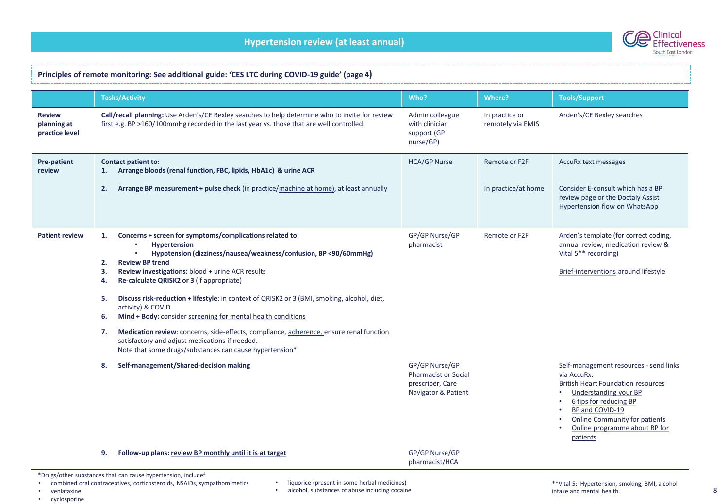

#### **Principles of remote monitoring: See additional guide: ['CES LTC during COVID](http://www.clinicaleffectivenesssouthwark.co.uk/wp-content/uploads/2020/11/LTC-management-during-COVID-19-and-beyond.-Version-1.8.pdf)-19 guide' (page 4) Tasks/Activity Who? Where? Tools/Support Review planning at practice level Call/recall planning:** Use Arden's/CE Bexley searches to help determine who to invite for review first e.g. BP >160/100mmHg recorded in the last year vs. those that are well controlled. Admin colleague with clinician support (GP nurse/GP) In practice or remotely via EMIS Arden's/CE Bexley searches **Pre-patient review Contact patient to: 1. Arrange bloods (renal function, FBC, lipids, HbA1c) & urine ACR 2. Arrange BP measurement + pulse check** (in practice/[machine at home\)](https://www.bhf.org.uk/informationsupport/heart-matters-magazine/medical/tests/blood-pressure-measuring-at-home), at least annually HCA/GP Nurse Remote or F2F In practice/at home AccuRx text messages Consider E-consult which has a BP review page or the Doctaly Assist Hypertension flow on WhatsApp **Patient review 1. Concerns + screen for symptoms/complications related to:** • **Hypertension** • **Hypotension (dizziness/nausea/weakness/confusion, BP <90/60mmHg) 2. Review BP trend 3. Review investigations:** blood + urine ACR results **4. Re-calculate QRISK2 or 3** (if appropriate) **5. Discuss risk-reduction + lifestyle**: in context of QRISK2 or 3 (BMI, smoking, alcohol, diet, activity) & COVID **6. Mind + Body:** consider [screening for mental health conditions](http://www.clinicaleffectivenesssouthwark.co.uk/wp-content/uploads/2020/01/CES-Depression-and-Anxiety-Guide-FINAL-VERSION-TO-PRINT-1.pdf) GP/GP Nurse/GP pharmacist Remote or F2F Arden's template (for correct coding, annual review, medication review & Vital 5\*\* recording) [Brief-interventions](https://www.cambridgeshireandpeterboroughccg.nhs.uk/health-professionals/patient-pathways/hypertension-programme/resources-to-improve-management-of-hypertension/strengthening-healthy-lifestyles/very-brief-interventions/) around lifestyle **7. Medication review**: concerns, side-effects, compliance, [adherence,](https://www.cambridgeshireandpeterboroughccg.nhs.uk/health-professionals/patient-pathways/hypertension-programme/resources-to-improve-management-of-hypertension/improving-adherence/) ensure renal function satisfactory and adjust medications if needed. Note that some drugs/substances can cause hypertension\* **8. Self-management/Shared-decision making** GP/GP Nurse/GP Pharmacist or Social prescriber, Care Navigator & Patient Self-management resources - send links via AccuRx: British Heart Foundation resources • [Understanding your BP](https://www.bhf.org.uk/informationsupport/publications/heart-conditions/understanding-blood-pressure) • [6 tips for reducing BP](https://www.bhf.org.uk/informationsupport/heart-matters-magazine/research/blood-pressure/blood-pressure-tips) BP and COVID-19 • [Online Community](https://www.bhf.org.uk/informationsupport/our-online-community) for patients • [Online programme about BP for](https://healthunlocked.com/programs/high-blood-pressure)  patients **9. Follow-up plans: review BP monthly until it is at target GP Australian COMP GP/GP Nurse/GP Nurse GP/GP Nurse GP/GP Nurse GP/GP Nurse GP/GP Nurse GP/GP Nurse GP/GP Nurse GP/GP Nurse GP/GP Nurse GP/GP Nurse GP/GP Nurse G** pharmacist/HCA \*Drugs/other substances that can cause hypertension, include<sup>4</sup> • combined oral contraceptives, corticosteroids, NSAIDs, sympathomimetics liquorice (present in some herbal medicines)

- venlafaxine
- cyclosporine
- 
- alcohol, substances of abuse including cocaine

8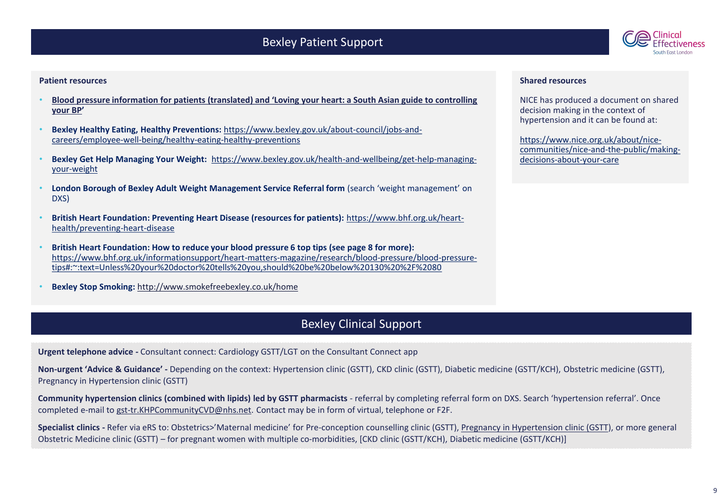# Bexley Patient Support



## **Patient resources**

- **[Blood pressure information for patients \(translated\) and 'Loving your heart: a South Asian guide to controlling](http://www.bloodpressureuk.org/resources/publications/translated-blood-pressure-information/)  your BP'**
- **Bexley Healthy Eating, Healthy Preventions:** https://www.bexley.gov.uk/about-council/jobs-and[careers/employee-well-being/healthy-eating-healthy-preventions](https://www.bexley.gov.uk/about-council/jobs-and-careers/employee-well-being/healthy-eating-healthy-preventions)
- **Bexley Get Help Managing Your Weight:** [https://www.bexley.gov.uk/health-and-wellbeing/get-help-managing](https://www.bexley.gov.uk/health-and-wellbeing/get-help-managing-your-weight)your-weight
- **London Borough of Bexley Adult Weight Management Service Referral form** (search 'weight management' on DXS)
- **[British Heart Foundation: Preventing Heart Disease \(resources for patients\):](https://www.bhf.org.uk/heart-health/preventing-heart-disease)** https://www.bhf.org.uk/hearthealth/preventing-heart-disease
- **British Heart Foundation: How to reduce your blood pressure 6 top tips (see page 8 for more):**  [https://www.bhf.org.uk/informationsupport/heart-matters-magazine/research/blood-pressure/blood-pressure](https://www.bhf.org.uk/informationsupport/heart-matters-magazine/research/blood-pressure/blood-pressure-tips#:~:text=Unless%20your%20doctor%20tells%20you,should%20be%20below%20130%20%2F%2080)tips#:~:text=Unless%20your%20doctor%20tells%20you,should%20be%20below%20130%20%2F%2080
- **Bexley Stop Smoking:** <http://www.smokefreebexley.co.uk/home>

# Bexley Clinical Support

**Urgent telephone advice -** Consultant connect: Cardiology GSTT/LGT on the Consultant Connect app

**Non-urgent 'Advice & Guidance' -** Depending on the context: Hypertension clinic (GSTT), CKD clinic (GSTT), Diabetic medicine (GSTT/KCH), Obstetric medicine (GSTT), Pregnancy in Hypertension clinic (GSTT)

**Community hypertension clinics (combined with lipids) led by GSTT pharmacists** - referral by completing referral form on DXS. Search 'hypertension referral'. Once completed e-mail to [gst-tr.KHPCommunityCVD@nhs.net](mailto:gst-tr.KHPCommunityCVD@nhs.net). Contact may be in form of virtual, telephone or F2F.

**Specialist clinics -** Refer via eRS to: Obstetrics>'Maternal medicine' for Pre-conception counselling clinic (GSTT), [Pregnancy in Hypertension clinic \(GSTT\)](https://www.guysandstthomas.nhs.uk/our-services/maternity/care-during-pregnancy/high-blood-pressure-in-pregnancy.aspx#na), or more general Obstetric Medicine clinic (GSTT) – for pregnant women with multiple co-morbidities, [CKD clinic (GSTT/KCH), Diabetic medicine (GSTT/KCH)]

### **Shared resources**

NICE has produced a document on shared decision making in the context of hypertension and it can be found at:

https://www.nice.org.uk/about/nice[communities/nice-and-the-public/making](https://www.nice.org.uk/about/nice-communities/nice-and-the-public/making-decisions-about-your-care)decisions-about-your-care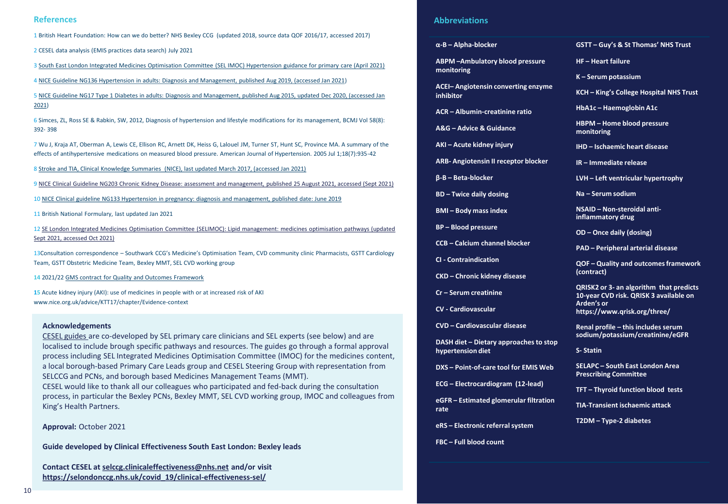1 British Heart Foundation: How can we do better? NHS Bexley CCG (updated 2018, source data QOF 2016/17, accessed 2017)

2 CESEL data analysis (EMIS practices data search) July 2021

3 [South East London Integrated Medicines Optimisation Committee \(SEL IMOC\) Hypertension guidance for primary care \(April 2021\)](https://selondonccg.nhs.uk/wp-content/uploads/dlm_uploads/2021/09/HYPERTENSION-management-guidance-FINAL-April-2021.pdf?UNLID=3038234802021102810310)

4 [NICE Guideline NG136 Hypertension in adults: Diagnosis and Management, published Aug 2019, \(accessed Jan 2021\)](https://www.nice.org.uk/guidance/ng136/resources/hypertension-in-adults-diagnosis-and-management-pdf-66141722710213)

5 [NICE Guideline NG17 Type 1 Diabetes in adults: Diagnosis and Management, published Aug 2015, updated Dec 2020, \(accessed Jan](https://www.nice.org.uk/guidance/ng17/resources/type-1-diabetes-in-adults-diagnosis-and-management-pdf-1837276469701)  2021)

6 Simces, ZL, Ross SE & Rabkin, SW, 2012, Diagnosis of hypertension and lifestyle modifications for its management, BCMJ Vol 58(8): 392- 398

7 Wu J, Kraja AT, Oberman A, Lewis CE, Ellison RC, Arnett DK, Heiss G, Lalouel JM, Turner ST, Hunt SC, Province MA. A summary of the effects of antihypertensive medications on measured blood pressure. American Journal of Hypertension. 2005 Jul 1;18(7):935-42

8 [Stroke and TIA, Clinical Knowledge Summaries \(NICE\), last updated March 2017, \(accessed Jan 2021\)](https://cks.nice.org.uk/topics/stroke-tia/management/secondary-prevention-following-stroke-tia/)

9 [NICE Clinical Guideline NG203 Chronic Kidney Disease: assessment and management, published 25 August 2021, accessed \(Sept 2021\)](https://www.nice.org.uk/guidance/ng203/resources/chronic-kidney-disease-assessment-and-management-pdf-66143713055173)

10 [NICE Clinical guideline NG133 Hypertension in pregnancy: diagnosis and management, published date: June 2019](https://www.nice.org.uk/guidance/ng133/resources/hypertension-in-pregnancy-diagnosis-and-management-pdf-66141717671365)

11 British National Formulary, last updated Jan 2021

12 [SE London Integrated Medicines Optimisation Committee \(SELIMOC\): Lipid management: medicines optimisation pathways \(updated](https://selondonccg.nhs.uk/wp-content/uploads/dlm_uploads/2021/09/Lipids-management-pathways-for-South-East-London-FINAL-September-2021.pdf)  Sept 2021, accessed Oct 2021)

13Consultation correspondence – Southwark CCG's Medicine's Optimisation Team, CVD community clinic Pharmacists, GSTT Cardiology Team, GSTT Obstetric Medicine Team, Bexley MMT, SEL CVD working group

**14** 2021/22 [GMS contract for Quality and Outcomes Framework](https://www.england.nhs.uk/wp-content/uploads/2021/03/B0456-update-on-quality-outcomes-framework-changes-for-21-22-.pdf)

**15** Acute kidney injury (AKI): use of medicines in people with or at increased risk of AKI www.nice.org.uk/advice/KTT17/chapter/Evidence-context

#### **Acknowledgements**

[CESEL guides a](https://selondonccg.nhs.uk/covid_19/clinical-effectiveness-sel/)re co-developed by SEL primary care clinicians and SEL experts (see below) and are localised to include brough specific pathways and resources. The guides go through a formal approval process including SEL Integrated Medicines Optimisation Committee (IMOC) for the medicines content, a local borough-based Primary Care Leads group and CESEL Steering Group with representation from SELCCG and PCNs, and borough based Medicines Management Teams (MMT). CESEL would like to thank all our colleagues who participated and fed-back during the consultation process, in particular the Bexley PCNs, Bexley MMT, SEL CVD working group, IMOC and colleagues from King's Health Partners.

**Approval:** October 2021

**Guide developed by Clinical Effectiveness South East London: Bexley leads**

**Contact CESEL at [selccg.clinicaleffectiveness@nhs.net](mailto:selccg.clinicaleffectiveness@nhs.net) and/or visit [https://selondonccg.nhs.uk/covid\\_19/clinical-effectiveness-sel/](https://selondonccg.nhs.uk/covid_19/clinical-effectiveness-sel/)**

# **References Abbreviations**

#### **α-B – Alpha-blocker**

**ABPM –Ambulatory blood pressure monitoring**

**ACEI– Angiotensin converting enzyme inhibitor** 

**ACR – Albumin-creatinine ratio**

**A&G – Advice & Guidance** 

**AKI – Acute kidney injury**

**ARB- Angiotensin II receptor blocker**

**β-B – Beta-blocker**

**BD – Twice daily dosing**

**BMI – Body mass index**

**BP – Blood pressure**

**CCB – Calcium channel blocker**

**CI - Contraindication**

**CKD – Chronic kidney disease**

**Cr – Serum creatinine**

**CV - Cardiovascular**

**CVD – Cardiovascular disease**

**DASH diet – Dietary approaches to stop hypertension diet**

**DXS – Point-of-care tool for EMIS Web**

**ECG – Electrocardiogram (12-lead)**

**eGFR – Estimated glomerular filtration rate**

**eRS – Electronic referral system**

**FBC – Full blood count**

#### **GSTT – Guy's & St Thomas' NHS Trust**

**HF – Heart failure**

**K – Serum potassium** 

**KCH – King's College Hospital NHS Trust**

**HbA1c – Haemoglobin A1c** 

**HBPM – Home blood pressure monitoring**

**IHD – Ischaemic heart disease**

**IR – Immediate release** 

**LVH – Left ventricular hypertrophy**

**Na – Serum sodium**

**NSAID – Non-steroidal antiinflammatory drug**

**OD – Once daily (dosing)**

**PAD – Peripheral arterial disease**

**QOF – Quality and outcomes framework (contract)**

**QRISK2 or 3- an algorithm that predicts 10-year CVD risk. QRISK 3 available on Arden's or https://www.qrisk.org/three/**

**Renal profile – this includes serum sodium/potassium/creatinine/eGFR**

**S- Statin**

**SELAPC – South East London Area Prescribing Committee** 

**TFT – Thyroid function blood tests**

**TIA-Transient ischaemic attack**

**T2DM – Type-2 diabetes**